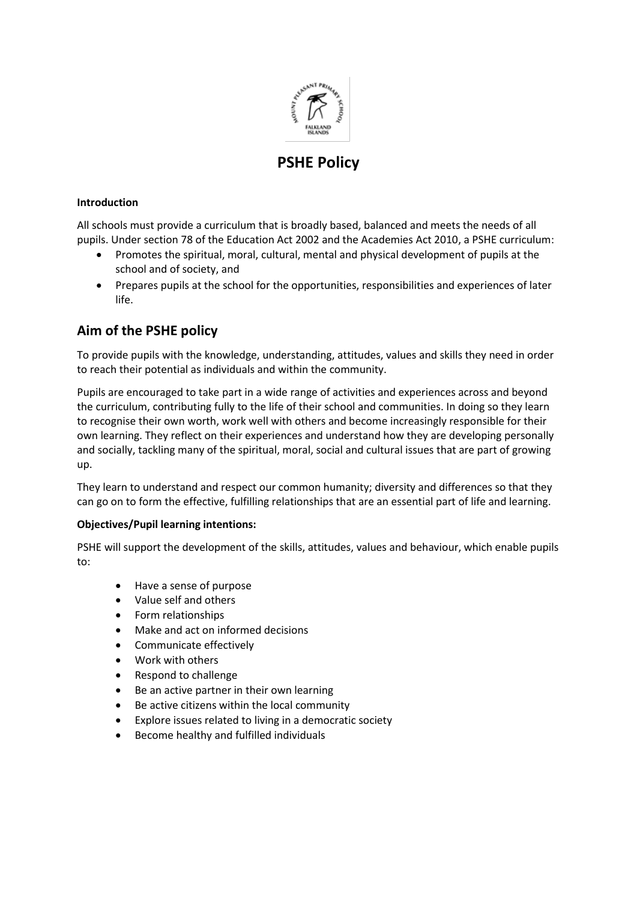

# **PSHE Policy**

## **Introduction**

All schools must provide a curriculum that is broadly based, balanced and meets the needs of all pupils. Under section 78 of the Education Act 2002 and the Academies Act 2010, a PSHE curriculum:

- Promotes the spiritual, moral, cultural, mental and physical development of pupils at the school and of society, and
- Prepares pupils at the school for the opportunities, responsibilities and experiences of later life.

# **Aim of the PSHE policy**

To provide pupils with the knowledge, understanding, attitudes, values and skills they need in order to reach their potential as individuals and within the community.

Pupils are encouraged to take part in a wide range of activities and experiences across and beyond the curriculum, contributing fully to the life of their school and communities. In doing so they learn to recognise their own worth, work well with others and become increasingly responsible for their own learning. They reflect on their experiences and understand how they are developing personally and socially, tackling many of the spiritual, moral, social and cultural issues that are part of growing up.

They learn to understand and respect our common humanity; diversity and differences so that they can go on to form the effective, fulfilling relationships that are an essential part of life and learning.

## **Objectives/Pupil learning intentions:**

PSHE will support the development of the skills, attitudes, values and behaviour, which enable pupils to:

- Have a sense of purpose
- Value self and others
- Form relationships
- Make and act on informed decisions
- Communicate effectively
- Work with others
- Respond to challenge
- Be an active partner in their own learning
- Be active citizens within the local community
- Explore issues related to living in a democratic society
- Become healthy and fulfilled individuals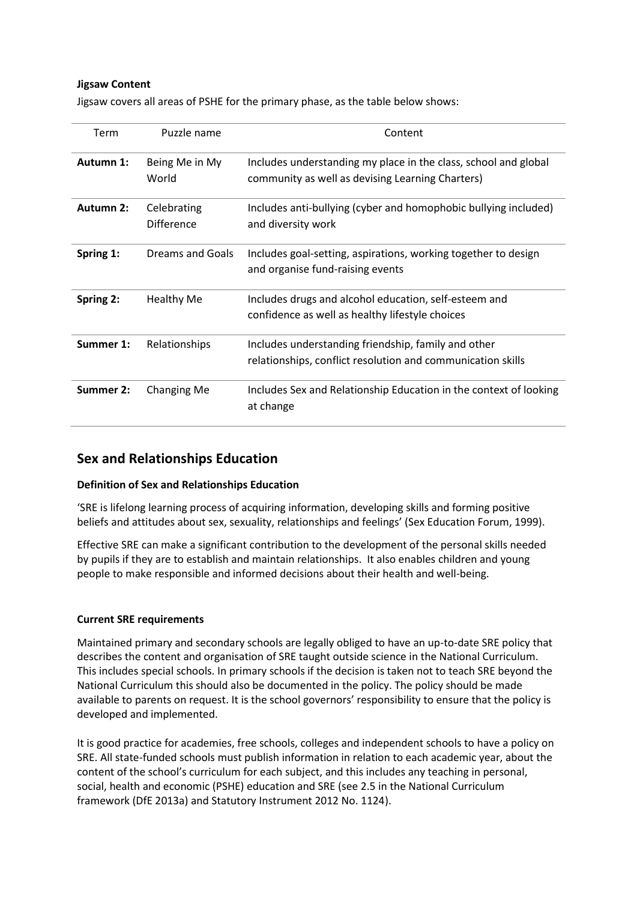## **Jigsaw Content**

Jigsaw covers all areas of PSHE for the primary phase, as the table below shows:

| Term             | Puzzle name                      | Content                                                                                                             |
|------------------|----------------------------------|---------------------------------------------------------------------------------------------------------------------|
| Autumn 1:        | Being Me in My<br>World          | Includes understanding my place in the class, school and global<br>community as well as devising Learning Charters) |
| <b>Autumn 2:</b> | Celebrating<br><b>Difference</b> | Includes anti-bullying (cyber and homophobic bullying included)<br>and diversity work                               |
| Spring 1:        | Dreams and Goals                 | Includes goal-setting, aspirations, working together to design<br>and organise fund-raising events                  |
| Spring 2:        | <b>Healthy Me</b>                | Includes drugs and alcohol education, self-esteem and<br>confidence as well as healthy lifestyle choices            |
| Summer 1:        | Relationships                    | Includes understanding friendship, family and other<br>relationships, conflict resolution and communication skills  |
| <b>Summer 2:</b> | <b>Changing Me</b>               | Includes Sex and Relationship Education in the context of looking<br>at change                                      |

## **Sex and Relationships Education**

## **Definition of Sex and Relationships Education**

'SRE is lifelong learning process of acquiring information, developing skills and forming positive beliefs and attitudes about sex, sexuality, relationships and feelings' (Sex Education Forum, 1999).

Effective SRE can make a significant contribution to the development of the personal skills needed by pupils if they are to establish and maintain relationships. It also enables children and young people to make responsible and informed decisions about their health and well-being.

## **Current SRE requirements**

Maintained primary and secondary schools are legally obliged to have an up-to-date SRE policy that describes the content and organisation of SRE taught outside science in the National Curriculum. This includes special schools. In primary schools if the decision is taken not to teach SRE beyond the National Curriculum this should also be documented in the policy. The policy should be made available to parents on request. It is the school governors' responsibility to ensure that the policy is developed and implemented.

It is good practice for academies, free schools, colleges and independent schools to have a policy on SRE. All state-funded schools must publish information in relation to each academic year, about the content of the school's curriculum for each subject, and this includes any teaching in personal, social, health and economic (PSHE) education and SRE (see 2.5 in the National Curriculum framework (DfE 2013a) and Statutory Instrument 2012 No. 1124).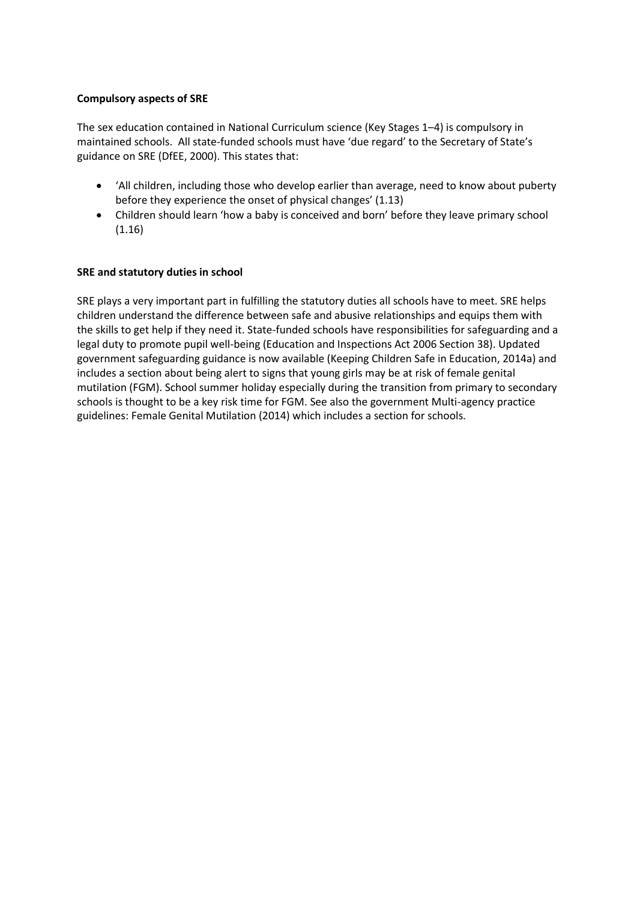## **Compulsory aspects of SRE**

The sex education contained in National Curriculum science (Key Stages 1–4) is compulsory in maintained schools. All state-funded schools must have 'due regard' to the Secretary of State's guidance on SRE (DfEE, 2000). This states that:

- 'All children, including those who develop earlier than average, need to know about puberty before they experience the onset of physical changes' (1.13)
- Children should learn 'how a baby is conceived and born' before they leave primary school (1.16)

## **SRE and statutory duties in school**

SRE plays a very important part in fulfilling the statutory duties all schools have to meet. SRE helps children understand the difference between safe and abusive relationships and equips them with the skills to get help if they need it. State-funded schools have responsibilities for safeguarding and a legal duty to promote pupil well-being (Education and Inspections Act 2006 Section 38). Updated government safeguarding guidance is now available (Keeping Children Safe in Education, 2014a) and includes a section about being alert to signs that young girls may be at risk of female genital mutilation (FGM). School summer holiday especially during the transition from primary to secondary schools is thought to be a key risk time for FGM. See also the government Multi-agency practice guidelines: Female Genital Mutilation (2014) which includes a section for schools.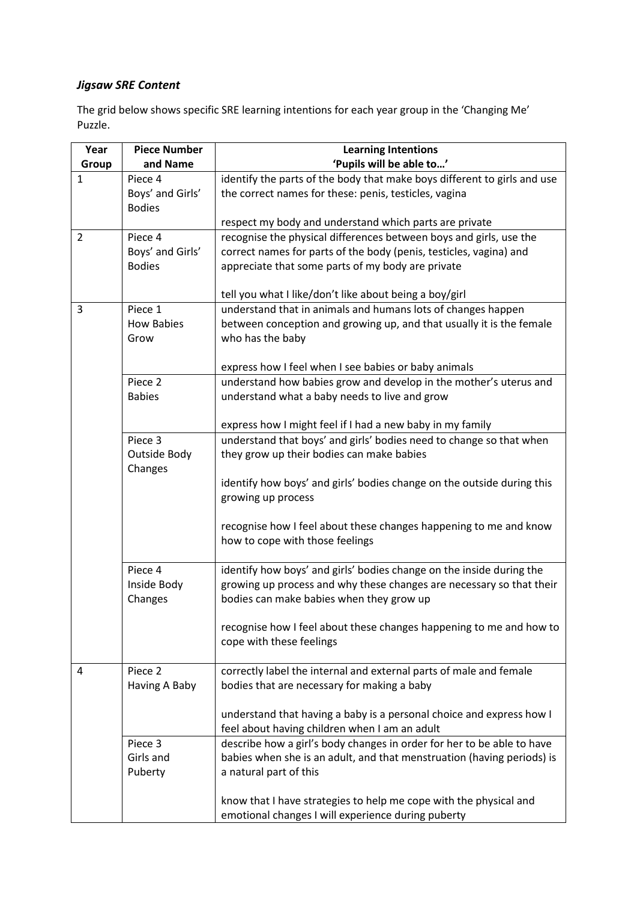## *Jigsaw SRE Content*

The grid below shows specific SRE learning intentions for each year group in the 'Changing Me' Puzzle.

| Year           | <b>Piece Number</b> | <b>Learning Intentions</b>                                                                                                |
|----------------|---------------------|---------------------------------------------------------------------------------------------------------------------------|
| Group          | and Name            | 'Pupils will be able to'                                                                                                  |
| $\mathbf{1}$   | Piece 4             | identify the parts of the body that make boys different to girls and use                                                  |
|                | Boys' and Girls'    | the correct names for these: penis, testicles, vagina                                                                     |
|                | <b>Bodies</b>       |                                                                                                                           |
|                |                     | respect my body and understand which parts are private                                                                    |
| $\overline{2}$ | Piece 4             | recognise the physical differences between boys and girls, use the                                                        |
|                | Boys' and Girls'    | correct names for parts of the body (penis, testicles, vagina) and                                                        |
|                | <b>Bodies</b>       | appreciate that some parts of my body are private                                                                         |
|                |                     |                                                                                                                           |
|                |                     | tell you what I like/don't like about being a boy/girl                                                                    |
| 3              | Piece 1             | understand that in animals and humans lots of changes happen                                                              |
|                | <b>How Babies</b>   | between conception and growing up, and that usually it is the female                                                      |
|                | Grow                | who has the baby                                                                                                          |
|                |                     |                                                                                                                           |
|                | Piece 2             | express how I feel when I see babies or baby animals<br>understand how babies grow and develop in the mother's uterus and |
|                | <b>Babies</b>       | understand what a baby needs to live and grow                                                                             |
|                |                     |                                                                                                                           |
|                |                     | express how I might feel if I had a new baby in my family                                                                 |
|                | Piece 3             | understand that boys' and girls' bodies need to change so that when                                                       |
|                | Outside Body        | they grow up their bodies can make babies                                                                                 |
|                | Changes             |                                                                                                                           |
|                |                     | identify how boys' and girls' bodies change on the outside during this                                                    |
|                |                     | growing up process                                                                                                        |
|                |                     |                                                                                                                           |
|                |                     | recognise how I feel about these changes happening to me and know                                                         |
|                |                     | how to cope with those feelings                                                                                           |
|                |                     |                                                                                                                           |
|                | Piece 4             | identify how boys' and girls' bodies change on the inside during the                                                      |
|                | Inside Body         | growing up process and why these changes are necessary so that their                                                      |
|                | Changes             | bodies can make babies when they grow up                                                                                  |
|                |                     |                                                                                                                           |
|                |                     | recognise how I feel about these changes happening to me and how to<br>cope with these feelings                           |
|                |                     |                                                                                                                           |
| 4              | Piece <sub>2</sub>  | correctly label the internal and external parts of male and female                                                        |
|                | Having A Baby       | bodies that are necessary for making a baby                                                                               |
|                |                     |                                                                                                                           |
|                |                     | understand that having a baby is a personal choice and express how I                                                      |
|                |                     | feel about having children when I am an adult                                                                             |
|                | Piece 3             | describe how a girl's body changes in order for her to be able to have                                                    |
|                | Girls and           | babies when she is an adult, and that menstruation (having periods) is                                                    |
|                | Puberty             | a natural part of this                                                                                                    |
|                |                     |                                                                                                                           |
|                |                     | know that I have strategies to help me cope with the physical and                                                         |
|                |                     | emotional changes I will experience during puberty                                                                        |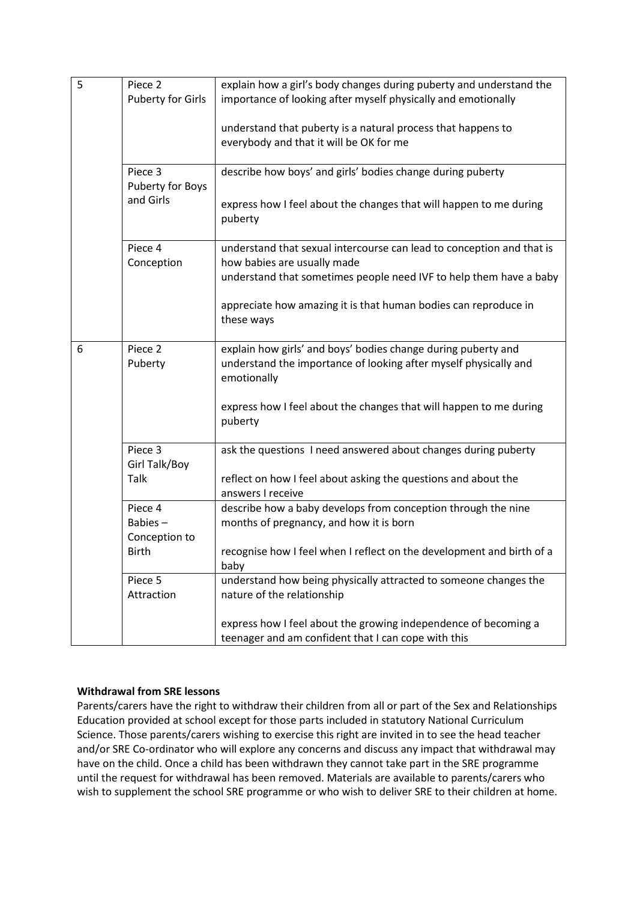| 5 | Piece 2<br><b>Puberty for Girls</b> | explain how a girl's body changes during puberty and understand the<br>importance of looking after myself physically and emotionally             |
|---|-------------------------------------|--------------------------------------------------------------------------------------------------------------------------------------------------|
|   |                                     | understand that puberty is a natural process that happens to<br>everybody and that it will be OK for me                                          |
|   | Piece 3<br>Puberty for Boys         | describe how boys' and girls' bodies change during puberty                                                                                       |
|   | and Girls                           | express how I feel about the changes that will happen to me during<br>puberty                                                                    |
|   | Piece 4<br>Conception               | understand that sexual intercourse can lead to conception and that is<br>how babies are usually made                                             |
|   |                                     | understand that sometimes people need IVF to help them have a baby                                                                               |
|   |                                     | appreciate how amazing it is that human bodies can reproduce in<br>these ways                                                                    |
| 6 | Piece <sub>2</sub><br>Puberty       | explain how girls' and boys' bodies change during puberty and<br>understand the importance of looking after myself physically and<br>emotionally |
|   |                                     | express how I feel about the changes that will happen to me during<br>puberty                                                                    |
|   | Piece 3<br>Girl Talk/Boy            | ask the questions I need answered about changes during puberty                                                                                   |
|   | Talk                                | reflect on how I feel about asking the questions and about the<br>answers I receive                                                              |
|   | Piece 4<br>Babies-<br>Conception to | describe how a baby develops from conception through the nine<br>months of pregnancy, and how it is born                                         |
|   | Birth                               | recognise how I feel when I reflect on the development and birth of a<br>baby                                                                    |
|   | Piece 5<br>Attraction               | understand how being physically attracted to someone changes the<br>nature of the relationship                                                   |
|   |                                     | express how I feel about the growing independence of becoming a<br>teenager and am confident that I can cope with this                           |

## **Withdrawal from SRE lessons**

Parents/carers have the right to withdraw their children from all or part of the Sex and Relationships Education provided at school except for those parts included in statutory National Curriculum Science. Those parents/carers wishing to exercise this right are invited in to see the head teacher and/or SRE Co-ordinator who will explore any concerns and discuss any impact that withdrawal may have on the child. Once a child has been withdrawn they cannot take part in the SRE programme until the request for withdrawal has been removed. Materials are available to parents/carers who wish to supplement the school SRE programme or who wish to deliver SRE to their children at home.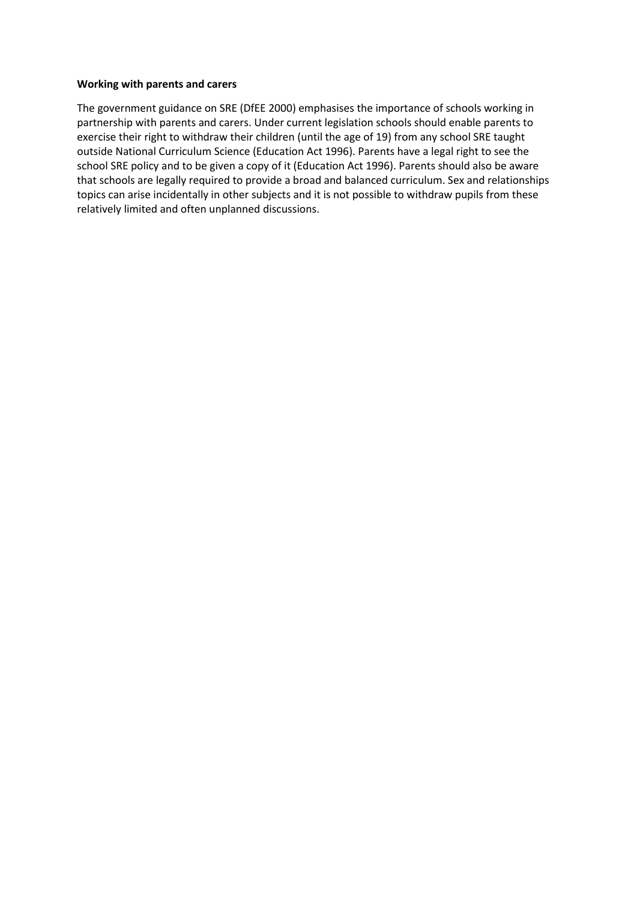#### **Working with parents and carers**

The government guidance on SRE (DfEE 2000) emphasises the importance of schools working in partnership with parents and carers. Under current legislation schools should enable parents to exercise their right to withdraw their children (until the age of 19) from any school SRE taught outside National Curriculum Science (Education Act 1996). Parents have a legal right to see the school SRE policy and to be given a copy of it (Education Act 1996). Parents should also be aware that schools are legally required to provide a broad and balanced curriculum. Sex and relationships topics can arise incidentally in other subjects and it is not possible to withdraw pupils from these relatively limited and often unplanned discussions.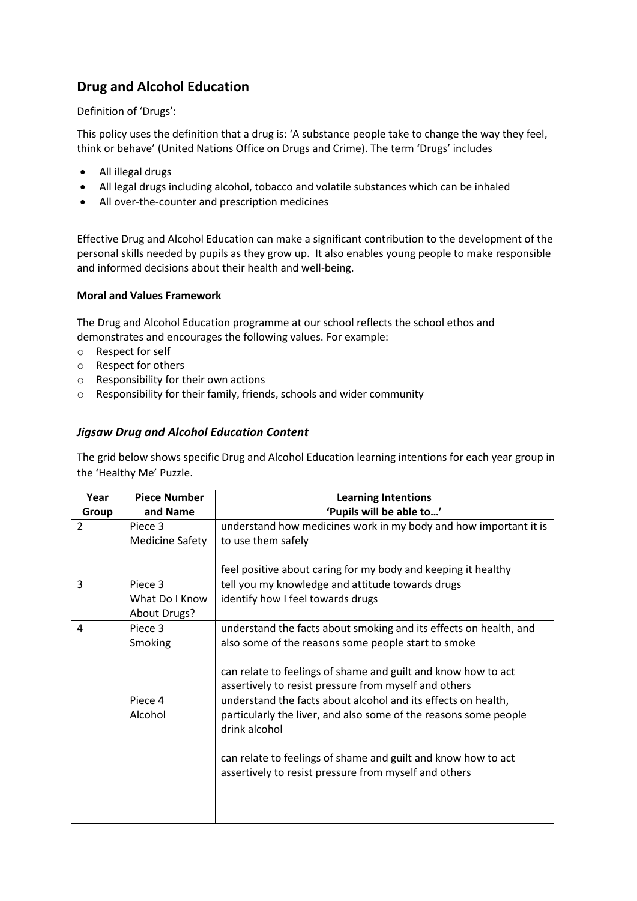# **Drug and Alcohol Education**

Definition of 'Drugs':

This policy uses the definition that a drug is: 'A substance people take to change the way they feel, think or behave' (United Nations Office on Drugs and Crime). The term 'Drugs' includes

- All illegal drugs
- All legal drugs including alcohol, tobacco and volatile substances which can be inhaled
- All over-the-counter and prescription medicines

Effective Drug and Alcohol Education can make a significant contribution to the development of the personal skills needed by pupils as they grow up. It also enables young people to make responsible and informed decisions about their health and well-being.

## **Moral and Values Framework**

The Drug and Alcohol Education programme at our school reflects the school ethos and demonstrates and encourages the following values. For example:

- o Respect for self
- o Respect for others
- o Responsibility for their own actions
- o Responsibility for their family, friends, schools and wider community

## *Jigsaw Drug and Alcohol Education Content*

The grid below shows specific Drug and Alcohol Education learning intentions for each year group in the 'Healthy Me' Puzzle.

| Year           | <b>Piece Number</b>    | <b>Learning Intentions</b>                                        |
|----------------|------------------------|-------------------------------------------------------------------|
| Group          | and Name               | 'Pupils will be able to'                                          |
| $\overline{2}$ | Piece 3                | understand how medicines work in my body and how important it is  |
|                | <b>Medicine Safety</b> | to use them safely                                                |
|                |                        |                                                                   |
|                |                        | feel positive about caring for my body and keeping it healthy     |
| 3              | Piece 3                | tell you my knowledge and attitude towards drugs                  |
|                | What Do I Know         | identify how I feel towards drugs                                 |
|                | About Drugs?           |                                                                   |
| 4              | Piece 3                | understand the facts about smoking and its effects on health, and |
|                | Smoking                | also some of the reasons some people start to smoke               |
|                |                        |                                                                   |
|                |                        | can relate to feelings of shame and guilt and know how to act     |
|                |                        | assertively to resist pressure from myself and others             |
|                | Piece 4                | understand the facts about alcohol and its effects on health,     |
|                | Alcohol                | particularly the liver, and also some of the reasons some people  |
|                |                        | drink alcohol                                                     |
|                |                        |                                                                   |
|                |                        | can relate to feelings of shame and guilt and know how to act     |
|                |                        | assertively to resist pressure from myself and others             |
|                |                        |                                                                   |
|                |                        |                                                                   |
|                |                        |                                                                   |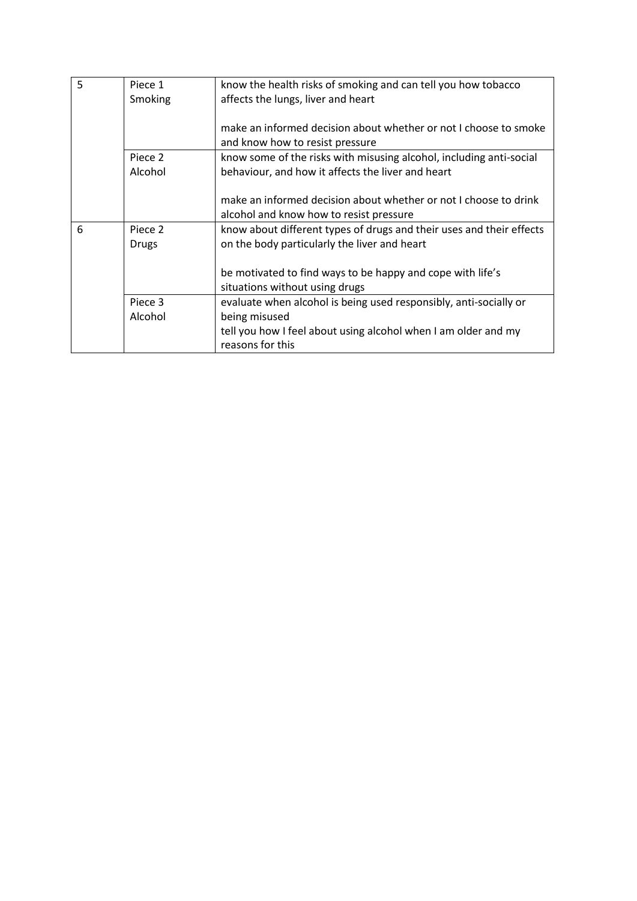| 5 | Piece 1      | know the health risks of smoking and can tell you how tobacco        |
|---|--------------|----------------------------------------------------------------------|
|   |              |                                                                      |
|   | Smoking      | affects the lungs, liver and heart                                   |
|   |              |                                                                      |
|   |              | make an informed decision about whether or not Lchoose to smoke      |
|   |              | and know how to resist pressure                                      |
|   | Piece 2      | know some of the risks with misusing alcohol, including anti-social  |
|   | Alcohol      | behaviour, and how it affects the liver and heart                    |
|   |              |                                                                      |
|   |              | make an informed decision about whether or not I choose to drink     |
|   |              | alcohol and know how to resist pressure                              |
| 6 | Piece 2      | know about different types of drugs and their uses and their effects |
|   | <b>Drugs</b> | on the body particularly the liver and heart                         |
|   |              |                                                                      |
|   |              | be motivated to find ways to be happy and cope with life's           |
|   |              | situations without using drugs                                       |
|   | Piece 3      | evaluate when alcohol is being used responsibly, anti-socially or    |
|   | Alcohol      | being misused                                                        |
|   |              | tell you how I feel about using alcohol when I am older and my       |
|   |              | reasons for this                                                     |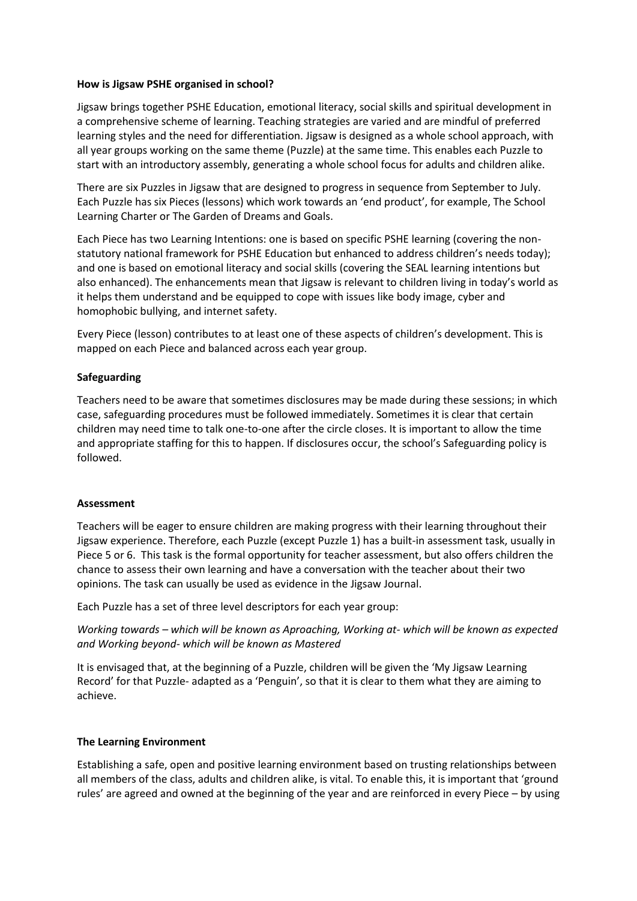### **How is Jigsaw PSHE organised in school?**

Jigsaw brings together PSHE Education, emotional literacy, social skills and spiritual development in a comprehensive scheme of learning. Teaching strategies are varied and are mindful of preferred learning styles and the need for differentiation. Jigsaw is designed as a whole school approach, with all year groups working on the same theme (Puzzle) at the same time. This enables each Puzzle to start with an introductory assembly, generating a whole school focus for adults and children alike.

There are six Puzzles in Jigsaw that are designed to progress in sequence from September to July. Each Puzzle has six Pieces (lessons) which work towards an 'end product', for example, The School Learning Charter or The Garden of Dreams and Goals.

Each Piece has two Learning Intentions: one is based on specific PSHE learning (covering the nonstatutory national framework for PSHE Education but enhanced to address children's needs today); and one is based on emotional literacy and social skills (covering the SEAL learning intentions but also enhanced). The enhancements mean that Jigsaw is relevant to children living in today's world as it helps them understand and be equipped to cope with issues like body image, cyber and homophobic bullying, and internet safety.

Every Piece (lesson) contributes to at least one of these aspects of children's development. This is mapped on each Piece and balanced across each year group.

## **Safeguarding**

Teachers need to be aware that sometimes disclosures may be made during these sessions; in which case, safeguarding procedures must be followed immediately. Sometimes it is clear that certain children may need time to talk one-to-one after the circle closes. It is important to allow the time and appropriate staffing for this to happen. If disclosures occur, the school's Safeguarding policy is followed.

#### **Assessment**

Teachers will be eager to ensure children are making progress with their learning throughout their Jigsaw experience. Therefore, each Puzzle (except Puzzle 1) has a built-in assessment task, usually in Piece 5 or 6. This task is the formal opportunity for teacher assessment, but also offers children the chance to assess their own learning and have a conversation with the teacher about their two opinions. The task can usually be used as evidence in the Jigsaw Journal.

Each Puzzle has a set of three level descriptors for each year group:

*Working towards – which will be known as Aproaching, Working at- which will be known as expected and Working beyond- which will be known as Mastered*

It is envisaged that, at the beginning of a Puzzle, children will be given the 'My Jigsaw Learning Record' for that Puzzle- adapted as a 'Penguin', so that it is clear to them what they are aiming to achieve.

#### **The Learning Environment**

Establishing a safe, open and positive learning environment based on trusting relationships between all members of the class, adults and children alike, is vital. To enable this, it is important that 'ground rules' are agreed and owned at the beginning of the year and are reinforced in every Piece – by using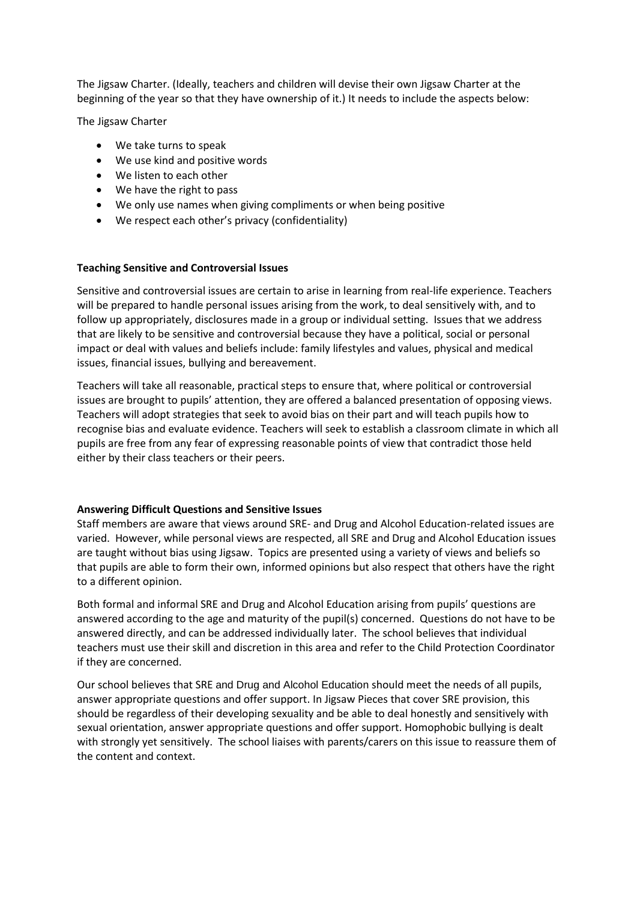The Jigsaw Charter. (Ideally, teachers and children will devise their own Jigsaw Charter at the beginning of the year so that they have ownership of it.) It needs to include the aspects below:

The Jigsaw Charter

- We take turns to speak
- We use kind and positive words
- We listen to each other
- We have the right to pass
- We only use names when giving compliments or when being positive
- We respect each other's privacy (confidentiality)

### **Teaching Sensitive and Controversial Issues**

Sensitive and controversial issues are certain to arise in learning from real-life experience. Teachers will be prepared to handle personal issues arising from the work, to deal sensitively with, and to follow up appropriately, disclosures made in a group or individual setting. Issues that we address that are likely to be sensitive and controversial because they have a political, social or personal impact or deal with values and beliefs include: family lifestyles and values, physical and medical issues, financial issues, bullying and bereavement.

Teachers will take all reasonable, practical steps to ensure that, where political or controversial issues are brought to pupils' attention, they are offered a balanced presentation of opposing views. Teachers will adopt strategies that seek to avoid bias on their part and will teach pupils how to recognise bias and evaluate evidence. Teachers will seek to establish a classroom climate in which all pupils are free from any fear of expressing reasonable points of view that contradict those held either by their class teachers or their peers.

## **Answering Difficult Questions and Sensitive Issues**

Staff members are aware that views around SRE- and Drug and Alcohol Education-related issues are varied. However, while personal views are respected, all SRE and Drug and Alcohol Education issues are taught without bias using Jigsaw. Topics are presented using a variety of views and beliefs so that pupils are able to form their own, informed opinions but also respect that others have the right to a different opinion.

Both formal and informal SRE and Drug and Alcohol Education arising from pupils' questions are answered according to the age and maturity of the pupil(s) concerned. Questions do not have to be answered directly, and can be addressed individually later. The school believes that individual teachers must use their skill and discretion in this area and refer to the Child Protection Coordinator if they are concerned.

Our school believes that SRE and Drug and Alcohol Education should meet the needs of all pupils, answer appropriate questions and offer support. In Jigsaw Pieces that cover SRE provision, this should be regardless of their developing sexuality and be able to deal honestly and sensitively with sexual orientation, answer appropriate questions and offer support. Homophobic bullying is dealt with strongly yet sensitively. The school liaises with parents/carers on this issue to reassure them of the content and context.